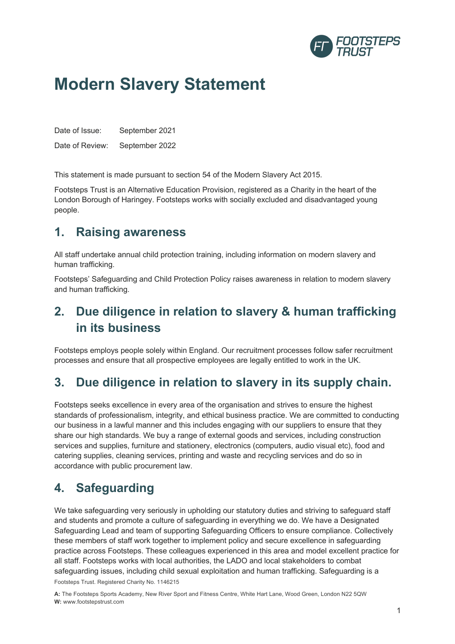

# **Modern Slavery Statement**

Date of Issue: September 2021 Date of Review: September 2022

This statement is made pursuant to section 54 of the Modern Slavery Act 2015.

Footsteps Trust is an Alternative Education Provision, registered as a Charity in the heart of the London Borough of Haringey. Footsteps works with socially excluded and disadvantaged young people.

#### **1. Raising awareness**

All staff undertake annual child protection training, including information on modern slavery and human trafficking.

Footsteps' Safeguarding and Child Protection Policy raises awareness in relation to modern slavery and human trafficking.

## **2. Due diligence in relation to slavery & human trafficking in its business**

Footsteps employs people solely within England. Our recruitment processes follow safer recruitment processes and ensure that all prospective employees are legally entitled to work in the UK.

## **3. Due diligence in relation to slavery in its supply chain.**

Footsteps seeks excellence in every area of the organisation and strives to ensure the highest standards of professionalism, integrity, and ethical business practice. We are committed to conducting our business in a lawful manner and this includes engaging with our suppliers to ensure that they share our high standards. We buy a range of external goods and services, including construction services and supplies, furniture and stationery, electronics (computers, audio visual etc), food and catering supplies, cleaning services, printing and waste and recycling services and do so in accordance with public procurement law.

### **4. Safeguarding**

Footsteps Trust. Registered Charity No. 1146215 We take safeguarding very seriously in upholding our statutory duties and striving to safeguard staff and students and promote a culture of safeguarding in everything we do. We have a Designated Safeguarding Lead and team of supporting Safeguarding Officers to ensure compliance. Collectively these members of staff work together to implement policy and secure excellence in safeguarding practice across Footsteps. These colleagues experienced in this area and model excellent practice for all staff. Footsteps works with local authorities, the LADO and local stakeholders to combat safeguarding issues, including child sexual exploitation and human trafficking. Safeguarding is a

**A:** The Footsteps Sports Academy, New River Sport and Fitness Centre, White Hart Lane, Wood Green, London N22 5QW **W:** www.footstepstrust.com